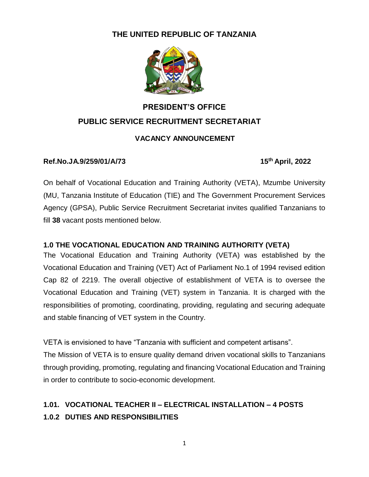#### **THE UNITED REPUBLIC OF TANZANIA**



# **PRESIDENT'S OFFICE PUBLIC SERVICE RECRUITMENT SECRETARIAT**

#### **VACANCY ANNOUNCEMENT**

#### **Ref.No.JA.9/259/01/A/73 15th April, 2022**

On behalf of Vocational Education and Training Authority (VETA), Mzumbe University (MU, Tanzania Institute of Education (TIE) and The Government Procurement Services Agency (GPSA), Public Service Recruitment Secretariat invites qualified Tanzanians to fill **38** vacant posts mentioned below.

#### **1.0 THE VOCATIONAL EDUCATION AND TRAINING AUTHORITY (VETA)**

The Vocational Education and Training Authority (VETA) was established by the Vocational Education and Training (VET) Act of Parliament No.1 of 1994 revised edition Cap 82 of 2219. The overall objective of establishment of VETA is to oversee the Vocational Education and Training (VET) system in Tanzania. It is charged with the responsibilities of promoting, coordinating, providing, regulating and securing adequate and stable financing of VET system in the Country.

VETA is envisioned to have "Tanzania with sufficient and competent artisans".

The Mission of VETA is to ensure quality demand driven vocational skills to Tanzanians through providing, promoting, regulating and financing Vocational Education and Training in order to contribute to socio-economic development.

## **1.01. VOCATIONAL TEACHER II – ELECTRICAL INSTALLATION – 4 POSTS 1.0.2 DUTIES AND RESPONSIBILITIES**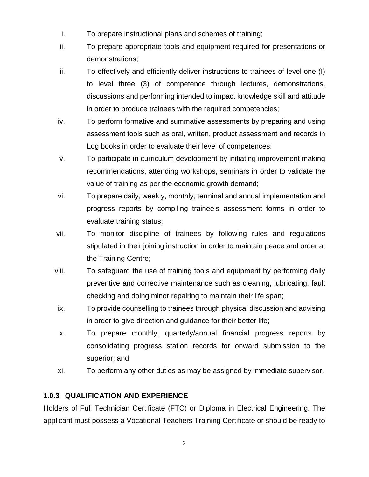- i. To prepare instructional plans and schemes of training;
- ii. To prepare appropriate tools and equipment required for presentations or demonstrations;
- iii. To effectively and efficiently deliver instructions to trainees of level one (I) to level three (3) of competence through lectures, demonstrations, discussions and performing intended to impact knowledge skill and attitude in order to produce trainees with the required competencies;
- iv. To perform formative and summative assessments by preparing and using assessment tools such as oral, written, product assessment and records in Log books in order to evaluate their level of competences;
- v. To participate in curriculum development by initiating improvement making recommendations, attending workshops, seminars in order to validate the value of training as per the economic growth demand;
- vi. To prepare daily, weekly, monthly, terminal and annual implementation and progress reports by compiling trainee's assessment forms in order to evaluate training status;
- vii. To monitor discipline of trainees by following rules and regulations stipulated in their joining instruction in order to maintain peace and order at the Training Centre;
- viii. To safeguard the use of training tools and equipment by performing daily preventive and corrective maintenance such as cleaning, lubricating, fault checking and doing minor repairing to maintain their life span;
- ix. To provide counselling to trainees through physical discussion and advising in order to give direction and guidance for their better life;
- x. To prepare monthly, quarterly/annual financial progress reports by consolidating progress station records for onward submission to the superior; and
- xi. To perform any other duties as may be assigned by immediate supervisor.

#### **1.0.3 QUALIFICATION AND EXPERIENCE**

Holders of Full Technician Certificate (FTC) or Diploma in Electrical Engineering. The applicant must possess a Vocational Teachers Training Certificate or should be ready to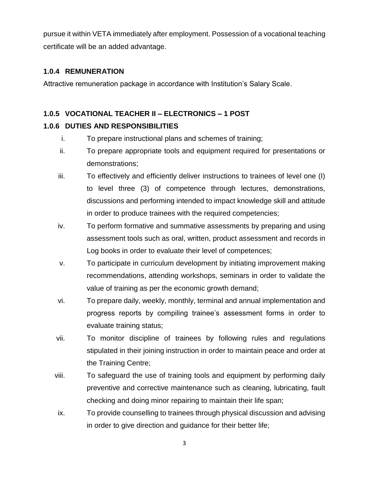pursue it within VETA immediately after employment. Possession of a vocational teaching certificate will be an added advantage.

#### **1.0.4 REMUNERATION**

Attractive remuneration package in accordance with Institution's Salary Scale.

#### **1.0.5 VOCATIONAL TEACHER II – ELECTRONICS – 1 POST**

#### **1.0.6 DUTIES AND RESPONSIBILITIES**

- i. To prepare instructional plans and schemes of training;
- ii. To prepare appropriate tools and equipment required for presentations or demonstrations;
- iii. To effectively and efficiently deliver instructions to trainees of level one (I) to level three (3) of competence through lectures, demonstrations, discussions and performing intended to impact knowledge skill and attitude in order to produce trainees with the required competencies;
- iv. To perform formative and summative assessments by preparing and using assessment tools such as oral, written, product assessment and records in Log books in order to evaluate their level of competences;
- v. To participate in curriculum development by initiating improvement making recommendations, attending workshops, seminars in order to validate the value of training as per the economic growth demand;
- vi. To prepare daily, weekly, monthly, terminal and annual implementation and progress reports by compiling trainee's assessment forms in order to evaluate training status;
- vii. To monitor discipline of trainees by following rules and regulations stipulated in their joining instruction in order to maintain peace and order at the Training Centre;
- viii. To safeguard the use of training tools and equipment by performing daily preventive and corrective maintenance such as cleaning, lubricating, fault checking and doing minor repairing to maintain their life span;
- ix. To provide counselling to trainees through physical discussion and advising in order to give direction and guidance for their better life;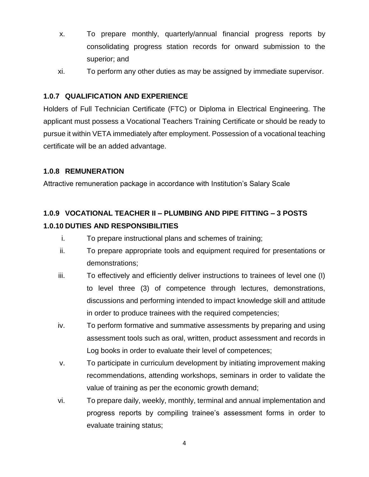- x. To prepare monthly, quarterly/annual financial progress reports by consolidating progress station records for onward submission to the superior; and
- xi. To perform any other duties as may be assigned by immediate supervisor.

#### **1.0.7 QUALIFICATION AND EXPERIENCE**

Holders of Full Technician Certificate (FTC) or Diploma in Electrical Engineering. The applicant must possess a Vocational Teachers Training Certificate or should be ready to pursue it within VETA immediately after employment. Possession of a vocational teaching certificate will be an added advantage.

#### **1.0.8 REMUNERATION**

Attractive remuneration package in accordance with Institution's Salary Scale

## **1.0.9 VOCATIONAL TEACHER II – PLUMBING AND PIPE FITTING – 3 POSTS 1.0.10 DUTIES AND RESPONSIBILITIES**

- i. To prepare instructional plans and schemes of training;
- ii. To prepare appropriate tools and equipment required for presentations or demonstrations;
- iii. To effectively and efficiently deliver instructions to trainees of level one (I) to level three (3) of competence through lectures, demonstrations, discussions and performing intended to impact knowledge skill and attitude in order to produce trainees with the required competencies;
- iv. To perform formative and summative assessments by preparing and using assessment tools such as oral, written, product assessment and records in Log books in order to evaluate their level of competences;
- v. To participate in curriculum development by initiating improvement making recommendations, attending workshops, seminars in order to validate the value of training as per the economic growth demand;
- vi. To prepare daily, weekly, monthly, terminal and annual implementation and progress reports by compiling trainee's assessment forms in order to evaluate training status;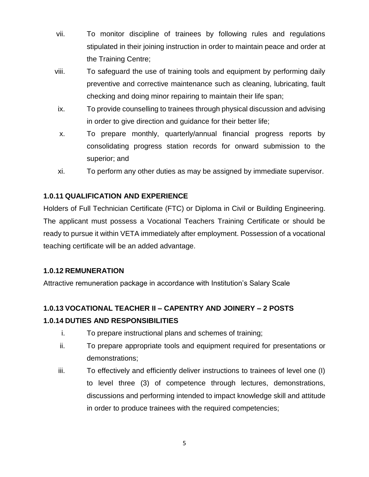- vii. To monitor discipline of trainees by following rules and regulations stipulated in their joining instruction in order to maintain peace and order at the Training Centre;
- viii. To safeguard the use of training tools and equipment by performing daily preventive and corrective maintenance such as cleaning, lubricating, fault checking and doing minor repairing to maintain their life span;
- ix. To provide counselling to trainees through physical discussion and advising in order to give direction and guidance for their better life;
- x. To prepare monthly, quarterly/annual financial progress reports by consolidating progress station records for onward submission to the superior; and
- xi. To perform any other duties as may be assigned by immediate supervisor.

#### **1.0.11 QUALIFICATION AND EXPERIENCE**

Holders of Full Technician Certificate (FTC) or Diploma in Civil or Building Engineering. The applicant must possess a Vocational Teachers Training Certificate or should be ready to pursue it within VETA immediately after employment. Possession of a vocational teaching certificate will be an added advantage.

#### **1.0.12 REMUNERATION**

Attractive remuneration package in accordance with Institution's Salary Scale

## **1.0.13 VOCATIONAL TEACHER II – CAPENTRY AND JOINERY – 2 POSTS 1.0.14 DUTIES AND RESPONSIBILITIES**

- i. To prepare instructional plans and schemes of training;
- ii. To prepare appropriate tools and equipment required for presentations or demonstrations;
- iii. To effectively and efficiently deliver instructions to trainees of level one (I) to level three (3) of competence through lectures, demonstrations, discussions and performing intended to impact knowledge skill and attitude in order to produce trainees with the required competencies;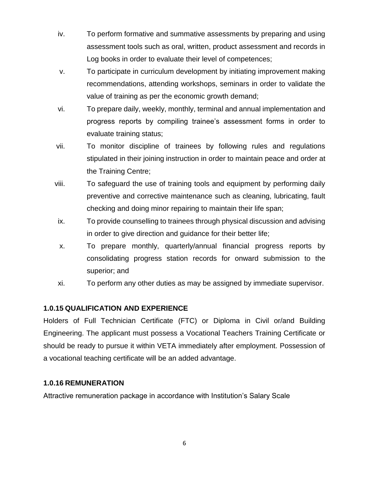- iv. To perform formative and summative assessments by preparing and using assessment tools such as oral, written, product assessment and records in Log books in order to evaluate their level of competences;
- v. To participate in curriculum development by initiating improvement making recommendations, attending workshops, seminars in order to validate the value of training as per the economic growth demand;
- vi. To prepare daily, weekly, monthly, terminal and annual implementation and progress reports by compiling trainee's assessment forms in order to evaluate training status;
- vii. To monitor discipline of trainees by following rules and regulations stipulated in their joining instruction in order to maintain peace and order at the Training Centre;
- viii. To safeguard the use of training tools and equipment by performing daily preventive and corrective maintenance such as cleaning, lubricating, fault checking and doing minor repairing to maintain their life span;
- ix. To provide counselling to trainees through physical discussion and advising in order to give direction and guidance for their better life;
- x. To prepare monthly, quarterly/annual financial progress reports by consolidating progress station records for onward submission to the superior; and
- xi. To perform any other duties as may be assigned by immediate supervisor.

#### **1.0.15 QUALIFICATION AND EXPERIENCE**

Holders of Full Technician Certificate (FTC) or Diploma in Civil or/and Building Engineering. The applicant must possess a Vocational Teachers Training Certificate or should be ready to pursue it within VETA immediately after employment. Possession of a vocational teaching certificate will be an added advantage.

#### **1.0.16 REMUNERATION**

Attractive remuneration package in accordance with Institution's Salary Scale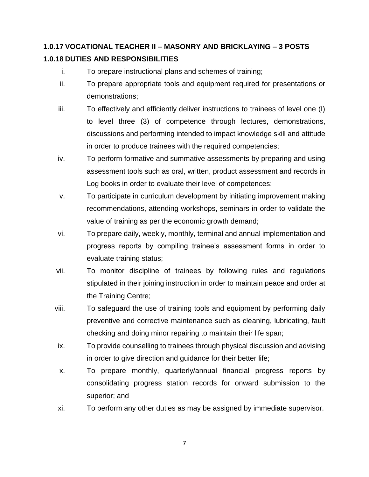## **1.0.17 VOCATIONAL TEACHER II – MASONRY AND BRICKLAYING – 3 POSTS 1.0.18 DUTIES AND RESPONSIBILITIES**

- i. To prepare instructional plans and schemes of training;
- ii. To prepare appropriate tools and equipment required for presentations or demonstrations;
- iii. To effectively and efficiently deliver instructions to trainees of level one (I) to level three (3) of competence through lectures, demonstrations, discussions and performing intended to impact knowledge skill and attitude in order to produce trainees with the required competencies;
- iv. To perform formative and summative assessments by preparing and using assessment tools such as oral, written, product assessment and records in Log books in order to evaluate their level of competences;
- v. To participate in curriculum development by initiating improvement making recommendations, attending workshops, seminars in order to validate the value of training as per the economic growth demand;
- vi. To prepare daily, weekly, monthly, terminal and annual implementation and progress reports by compiling trainee's assessment forms in order to evaluate training status;
- vii. To monitor discipline of trainees by following rules and regulations stipulated in their joining instruction in order to maintain peace and order at the Training Centre;
- viii. To safeguard the use of training tools and equipment by performing daily preventive and corrective maintenance such as cleaning, lubricating, fault checking and doing minor repairing to maintain their life span;
- ix. To provide counselling to trainees through physical discussion and advising in order to give direction and guidance for their better life;
- x. To prepare monthly, quarterly/annual financial progress reports by consolidating progress station records for onward submission to the superior; and
- xi. To perform any other duties as may be assigned by immediate supervisor.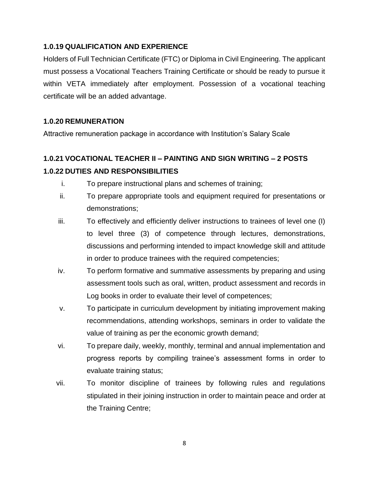#### **1.0.19 QUALIFICATION AND EXPERIENCE**

Holders of Full Technician Certificate (FTC) or Diploma in Civil Engineering. The applicant must possess a Vocational Teachers Training Certificate or should be ready to pursue it within VETA immediately after employment. Possession of a vocational teaching certificate will be an added advantage.

#### **1.0.20 REMUNERATION**

Attractive remuneration package in accordance with Institution's Salary Scale

## **1.0.21 VOCATIONAL TEACHER II – PAINTING AND SIGN WRITING – 2 POSTS 1.0.22 DUTIES AND RESPONSIBILITIES**

- i. To prepare instructional plans and schemes of training;
- ii. To prepare appropriate tools and equipment required for presentations or demonstrations;
- iii. To effectively and efficiently deliver instructions to trainees of level one (I) to level three (3) of competence through lectures, demonstrations, discussions and performing intended to impact knowledge skill and attitude in order to produce trainees with the required competencies;
- iv. To perform formative and summative assessments by preparing and using assessment tools such as oral, written, product assessment and records in Log books in order to evaluate their level of competences;
- v. To participate in curriculum development by initiating improvement making recommendations, attending workshops, seminars in order to validate the value of training as per the economic growth demand;
- vi. To prepare daily, weekly, monthly, terminal and annual implementation and progress reports by compiling trainee's assessment forms in order to evaluate training status;
- vii. To monitor discipline of trainees by following rules and regulations stipulated in their joining instruction in order to maintain peace and order at the Training Centre;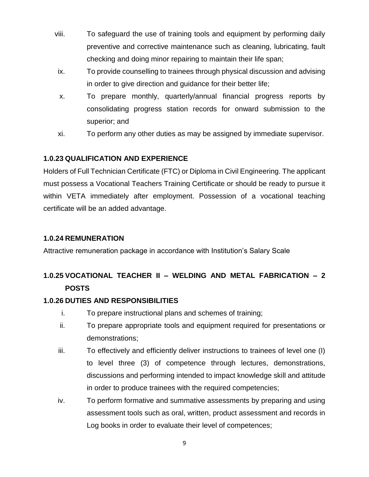- viii. To safeguard the use of training tools and equipment by performing daily preventive and corrective maintenance such as cleaning, lubricating, fault checking and doing minor repairing to maintain their life span;
- ix. To provide counselling to trainees through physical discussion and advising in order to give direction and guidance for their better life;
- x. To prepare monthly, quarterly/annual financial progress reports by consolidating progress station records for onward submission to the superior; and
- xi. To perform any other duties as may be assigned by immediate supervisor.

#### **1.0.23 QUALIFICATION AND EXPERIENCE**

Holders of Full Technician Certificate (FTC) or Diploma in Civil Engineering. The applicant must possess a Vocational Teachers Training Certificate or should be ready to pursue it within VETA immediately after employment. Possession of a vocational teaching certificate will be an added advantage.

#### **1.0.24 REMUNERATION**

Attractive remuneration package in accordance with Institution's Salary Scale

## **1.0.25 VOCATIONAL TEACHER II – WELDING AND METAL FABRICATION – 2 POSTS**

#### **1.0.26 DUTIES AND RESPONSIBILITIES**

- i. To prepare instructional plans and schemes of training;
- ii. To prepare appropriate tools and equipment required for presentations or demonstrations;
- iii. To effectively and efficiently deliver instructions to trainees of level one (I) to level three (3) of competence through lectures, demonstrations, discussions and performing intended to impact knowledge skill and attitude in order to produce trainees with the required competencies;
- iv. To perform formative and summative assessments by preparing and using assessment tools such as oral, written, product assessment and records in Log books in order to evaluate their level of competences;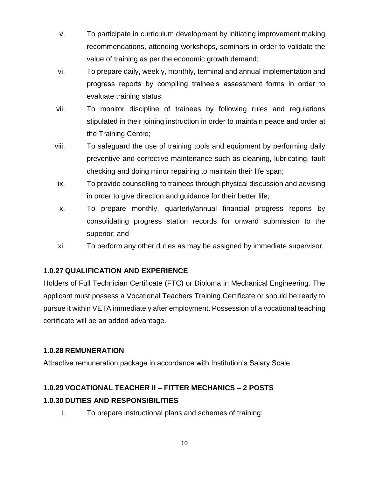- v. To participate in curriculum development by initiating improvement making recommendations, attending workshops, seminars in order to validate the value of training as per the economic growth demand;
- vi. To prepare daily, weekly, monthly, terminal and annual implementation and progress reports by compiling trainee's assessment forms in order to evaluate training status;
- vii. To monitor discipline of trainees by following rules and regulations stipulated in their joining instruction in order to maintain peace and order at the Training Centre;
- viii. To safeguard the use of training tools and equipment by performing daily preventive and corrective maintenance such as cleaning, lubricating, fault checking and doing minor repairing to maintain their life span;
- ix. To provide counselling to trainees through physical discussion and advising in order to give direction and guidance for their better life;
- x. To prepare monthly, quarterly/annual financial progress reports by consolidating progress station records for onward submission to the superior; and
- xi. To perform any other duties as may be assigned by immediate supervisor.

#### **1.0.27 QUALIFICATION AND EXPERIENCE**

Holders of Full Technician Certificate (FTC) or Diploma in Mechanical Engineering. The applicant must possess a Vocational Teachers Training Certificate or should be ready to pursue it within VETA immediately after employment. Possession of a vocational teaching certificate will be an added advantage.

#### **1.0.28 REMUNERATION**

Attractive remuneration package in accordance with Institution's Salary Scale

## **1.0.29 VOCATIONAL TEACHER II – FITTER MECHANICS – 2 POSTS 1.0.30 DUTIES AND RESPONSIBILITIES**

i. To prepare instructional plans and schemes of training;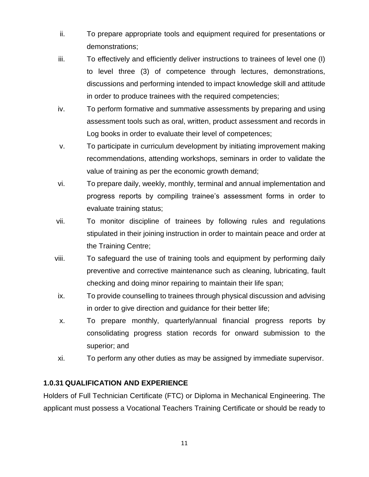- ii. To prepare appropriate tools and equipment required for presentations or demonstrations;
- iii. To effectively and efficiently deliver instructions to trainees of level one (I) to level three (3) of competence through lectures, demonstrations, discussions and performing intended to impact knowledge skill and attitude in order to produce trainees with the required competencies;
- iv. To perform formative and summative assessments by preparing and using assessment tools such as oral, written, product assessment and records in Log books in order to evaluate their level of competences;
- v. To participate in curriculum development by initiating improvement making recommendations, attending workshops, seminars in order to validate the value of training as per the economic growth demand;
- vi. To prepare daily, weekly, monthly, terminal and annual implementation and progress reports by compiling trainee's assessment forms in order to evaluate training status;
- vii. To monitor discipline of trainees by following rules and regulations stipulated in their joining instruction in order to maintain peace and order at the Training Centre;
- viii. To safeguard the use of training tools and equipment by performing daily preventive and corrective maintenance such as cleaning, lubricating, fault checking and doing minor repairing to maintain their life span;
- ix. To provide counselling to trainees through physical discussion and advising in order to give direction and guidance for their better life;
- x. To prepare monthly, quarterly/annual financial progress reports by consolidating progress station records for onward submission to the superior; and
- xi. To perform any other duties as may be assigned by immediate supervisor.

#### **1.0.31 QUALIFICATION AND EXPERIENCE**

Holders of Full Technician Certificate (FTC) or Diploma in Mechanical Engineering. The applicant must possess a Vocational Teachers Training Certificate or should be ready to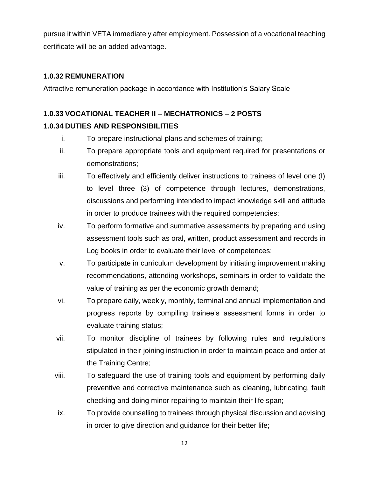pursue it within VETA immediately after employment. Possession of a vocational teaching certificate will be an added advantage.

#### **1.0.32 REMUNERATION**

Attractive remuneration package in accordance with Institution's Salary Scale

## **1.0.33 VOCATIONAL TEACHER II – MECHATRONICS – 2 POSTS 1.0.34 DUTIES AND RESPONSIBILITIES**

- i. To prepare instructional plans and schemes of training;
- ii. To prepare appropriate tools and equipment required for presentations or demonstrations;
- iii. To effectively and efficiently deliver instructions to trainees of level one (I) to level three (3) of competence through lectures, demonstrations, discussions and performing intended to impact knowledge skill and attitude in order to produce trainees with the required competencies;
- iv. To perform formative and summative assessments by preparing and using assessment tools such as oral, written, product assessment and records in Log books in order to evaluate their level of competences;
- v. To participate in curriculum development by initiating improvement making recommendations, attending workshops, seminars in order to validate the value of training as per the economic growth demand;
- vi. To prepare daily, weekly, monthly, terminal and annual implementation and progress reports by compiling trainee's assessment forms in order to evaluate training status;
- vii. To monitor discipline of trainees by following rules and regulations stipulated in their joining instruction in order to maintain peace and order at the Training Centre;
- viii. To safeguard the use of training tools and equipment by performing daily preventive and corrective maintenance such as cleaning, lubricating, fault checking and doing minor repairing to maintain their life span;
- ix. To provide counselling to trainees through physical discussion and advising in order to give direction and guidance for their better life;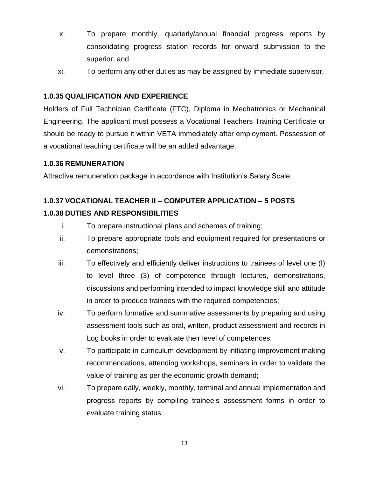- x. To prepare monthly, quarterly/annual financial progress reports by consolidating progress station records for onward submission to the superior; and
- xi. To perform any other duties as may be assigned by immediate supervisor.

#### **1.0.35 QUALIFICATION AND EXPERIENCE**

Holders of Full Technician Certificate (FTC), Diploma in Mechatronics or Mechanical Engineering. The applicant must possess a Vocational Teachers Training Certificate or should be ready to pursue it within VETA immediately after employment. Possession of a vocational teaching certificate will be an added advantage.

#### **1.0.36 REMUNERATION**

Attractive remuneration package in accordance with Institution's Salary Scale

#### **1.0.37 VOCATIONAL TEACHER II – COMPUTER APPLICATION – 5 POSTS**

#### **1.0.38 DUTIES AND RESPONSIBILITIES**

- i. To prepare instructional plans and schemes of training;
- ii. To prepare appropriate tools and equipment required for presentations or demonstrations;
- iii. To effectively and efficiently deliver instructions to trainees of level one (I) to level three (3) of competence through lectures, demonstrations, discussions and performing intended to impact knowledge skill and attitude in order to produce trainees with the required competencies;
- iv. To perform formative and summative assessments by preparing and using assessment tools such as oral, written, product assessment and records in Log books in order to evaluate their level of competences;
- v. To participate in curriculum development by initiating improvement making recommendations, attending workshops, seminars in order to validate the value of training as per the economic growth demand;
- vi. To prepare daily, weekly, monthly, terminal and annual implementation and progress reports by compiling trainee's assessment forms in order to evaluate training status;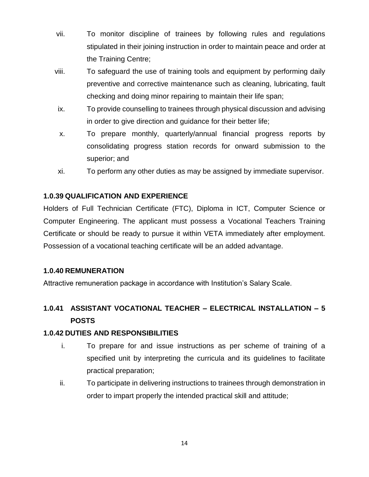- vii. To monitor discipline of trainees by following rules and regulations stipulated in their joining instruction in order to maintain peace and order at the Training Centre;
- viii. To safeguard the use of training tools and equipment by performing daily preventive and corrective maintenance such as cleaning, lubricating, fault checking and doing minor repairing to maintain their life span;
- ix. To provide counselling to trainees through physical discussion and advising in order to give direction and guidance for their better life;
- x. To prepare monthly, quarterly/annual financial progress reports by consolidating progress station records for onward submission to the superior; and
- xi. To perform any other duties as may be assigned by immediate supervisor.

#### **1.0.39 QUALIFICATION AND EXPERIENCE**

Holders of Full Technician Certificate (FTC), Diploma in ICT, Computer Science or Computer Engineering. The applicant must possess a Vocational Teachers Training Certificate or should be ready to pursue it within VETA immediately after employment. Possession of a vocational teaching certificate will be an added advantage.

#### **1.0.40 REMUNERATION**

Attractive remuneration package in accordance with Institution's Salary Scale.

## **1.0.41 ASSISTANT VOCATIONAL TEACHER – ELECTRICAL INSTALLATION – 5 POSTS**

#### **1.0.42 DUTIES AND RESPONSIBILITIES**

- i. To prepare for and issue instructions as per scheme of training of a specified unit by interpreting the curricula and its guidelines to facilitate practical preparation;
- ii. To participate in delivering instructions to trainees through demonstration in order to impart properly the intended practical skill and attitude;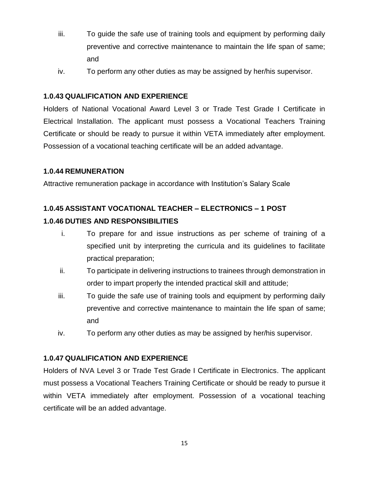- iii. To guide the safe use of training tools and equipment by performing daily preventive and corrective maintenance to maintain the life span of same; and
- iv. To perform any other duties as may be assigned by her/his supervisor.

#### **1.0.43 QUALIFICATION AND EXPERIENCE**

Holders of National Vocational Award Level 3 or Trade Test Grade I Certificate in Electrical Installation. The applicant must possess a Vocational Teachers Training Certificate or should be ready to pursue it within VETA immediately after employment. Possession of a vocational teaching certificate will be an added advantage.

#### **1.0.44 REMUNERATION**

Attractive remuneration package in accordance with Institution's Salary Scale

## **1.0.45 ASSISTANT VOCATIONAL TEACHER – ELECTRONICS – 1 POST 1.0.46 DUTIES AND RESPONSIBILITIES**

- i. To prepare for and issue instructions as per scheme of training of a specified unit by interpreting the curricula and its guidelines to facilitate practical preparation;
- ii. To participate in delivering instructions to trainees through demonstration in order to impart properly the intended practical skill and attitude;
- iii. To guide the safe use of training tools and equipment by performing daily preventive and corrective maintenance to maintain the life span of same; and
- iv. To perform any other duties as may be assigned by her/his supervisor.

#### **1.0.47 QUALIFICATION AND EXPERIENCE**

Holders of NVA Level 3 or Trade Test Grade I Certificate in Electronics. The applicant must possess a Vocational Teachers Training Certificate or should be ready to pursue it within VETA immediately after employment. Possession of a vocational teaching certificate will be an added advantage.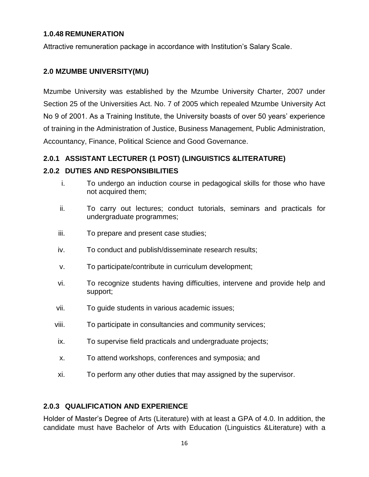#### **1.0.48 REMUNERATION**

Attractive remuneration package in accordance with Institution's Salary Scale.

#### **2.0 MZUMBE UNIVERSITY(MU)**

Mzumbe University was established by the Mzumbe University Charter, 2007 under Section 25 of the Universities Act. No. 7 of 2005 which repealed Mzumbe University Act No 9 of 2001. As a Training Institute, the University boasts of over 50 years' experience of training in the Administration of Justice, Business Management, Public Administration, Accountancy, Finance, Political Science and Good Governance.

#### **2.0.1 ASSISTANT LECTURER (1 POST) (LINGUISTICS &LITERATURE)**

#### **2.0.2 DUTIES AND RESPONSIBILITIES**

- i. To undergo an induction course in pedagogical skills for those who have not acquired them;
- ii. To carry out lectures; conduct tutorials, seminars and practicals for undergraduate programmes;
- iii. To prepare and present case studies;
- iv. To conduct and publish/disseminate research results;
- v. To participate/contribute in curriculum development;
- vi. To recognize students having difficulties, intervene and provide help and support;
- vii. To guide students in various academic issues;
- viii. To participate in consultancies and community services;
- ix. To supervise field practicals and undergraduate projects;
- x. To attend workshops, conferences and symposia; and
- xi. To perform any other duties that may assigned by the supervisor.

#### **2.0.3 QUALIFICATION AND EXPERIENCE**

Holder of Master's Degree of Arts (Literature) with at least a GPA of 4.0. In addition, the candidate must have Bachelor of Arts with Education (Linguistics &Literature) with a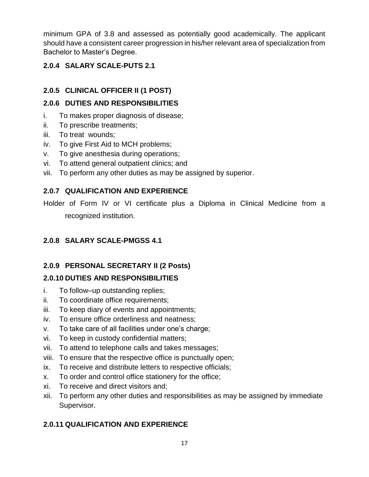minimum GPA of 3.8 and assessed as potentially good academically. The applicant should have a consistent career progression in his/her relevant area of specialization from Bachelor to Master's Degree.

### **2.0.4 SALARY SCALE-PUTS 2.1**

## **2.0.5 CLINICAL OFFICER II (1 POST)**

#### **2.0.6 DUTIES AND RESPONSIBILITIES**

- i. To makes proper diagnosis of disease;
- ii. To prescribe treatments;
- iii. To treat wounds;
- iv. To give First Aid to MCH problems;
- v. To give anesthesia during operations;
- vi. To attend general outpatient clinics; and
- vii. To perform any other duties as may be assigned by superior.

#### **2.0.7 QUALIFICATION AND EXPERIENCE**

Holder of Form IV or VI certificate plus a Diploma in Clinical Medicine from a recognized institution.

#### **2.0.8 SALARY SCALE-PMGSS 4.1**

### **2.0.9 PERSONAL SECRETARY II (2 Posts)**

### **2.0.10 DUTIES AND RESPONSIBILITIES**

- i. To follow–up outstanding replies;
- ii. To coordinate office requirements;
- iii. To keep diary of events and appointments;
- iv. To ensure office orderliness and neatness;
- v. To take care of all facilities under one's charge;
- vi. To keep in custody confidential matters;
- vii. To attend to telephone calls and takes messages;
- viii. To ensure that the respective office is punctually open;
- ix. To receive and distribute letters to respective officials;
- x. To order and control office stationery for the office;
- xi. To receive and direct visitors and;
- xii. To perform any other duties and responsibilities as may be assigned by immediate Supervisor.

### **2.0.11 QUALIFICATION AND EXPERIENCE**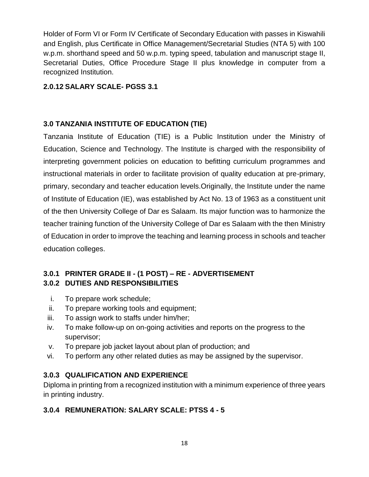Holder of Form VI or Form IV Certificate of Secondary Education with passes in Kiswahili and English, plus Certificate in Office Management/Secretarial Studies (NTA 5) with 100 w.p.m. shorthand speed and 50 w.p.m. typing speed, tabulation and manuscript stage II, Secretarial Duties, Office Procedure Stage II plus knowledge in computer from a recognized Institution.

#### **2.0.12 SALARY SCALE- PGSS 3.1**

#### **3.0 TANZANIA INSTITUTE OF EDUCATION (TIE)**

Tanzania Institute of Education (TIE) is a Public Institution under the Ministry of Education, Science and Technology. The Institute is charged with the responsibility of interpreting government policies on education to befitting curriculum programmes and instructional materials in order to facilitate provision of quality education at pre-primary, primary, secondary and teacher education levels.Originally, the Institute under the name of Institute of Education (IE), was established by Act No. 13 of 1963 as a constituent unit of the then University College of Dar es Salaam. Its major function was to harmonize the teacher training function of the University College of Dar es Salaam with the then Ministry of Education in order to improve the teaching and learning process in schools and teacher education colleges.

#### **3.0.1 PRINTER GRADE II - (1 POST) – RE - ADVERTISEMENT 3.0.2 DUTIES AND RESPONSIBILITIES**

- i. To prepare work schedule;
- ii. To prepare working tools and equipment;
- iii. To assign work to staffs under him/her;
- iv. To make follow-up on on-going activities and reports on the progress to the supervisor;
- v. To prepare job jacket layout about plan of production; and
- vi. To perform any other related duties as may be assigned by the supervisor.

#### **3.0.3 QUALIFICATION AND EXPERIENCE**

Diploma in printing from a recognized institution with a minimum experience of three years in printing industry.

#### **3.0.4 REMUNERATION: SALARY SCALE: PTSS 4 - 5**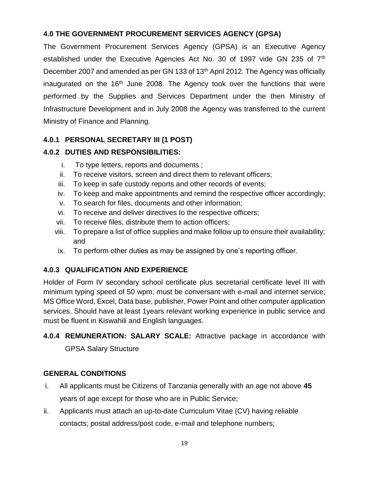#### **4.0 THE GOVERNMENT PROCUREMENT SERVICES AGENCY (GPSA)**

The Government Procurement Services Agency (GPSA) is an Executive Agency established under the Executive Agencies Act No. 30 of 1997 vide GN 235 of 7<sup>th</sup> December 2007 and amended as per GN 133 of 13th April 2012. The Agency was officially inaugurated on the  $16<sup>th</sup>$  June 2008. The Agency took over the functions that were performed by the Supplies and Services Department under the then Ministry of Infrastructure Development and in July 2008 the Agency was transferred to the current Ministry of Finance and Planning.

#### **4.0.1 PERSONAL SECRETARY III (1 POST)**

#### **4.0.2 DUTIES AND RESPONSIBILITIES:**

- i. To type letters, reports and documents ;
- ii. To receive visitors, screen and direct them to relevant officers;
- iii. To keep in safe custody reports and other records of events;
- iv. To keep and make appointments and remind the respective officer accordingly;
- v. To search for files, documents and other information;
- vi. To receive and deliver directives to the respective officers;
- vii. To receive files, distribute them to action officers;
- viii. To prepare a list of office supplies and make follow up to ensure their availability; and
- ix. To perform other duties as may be assigned by one's reporting officer.

### **4.0.3 QUALIFICATION AND EXPERIENCE**

Holder of Form IV secondary school certificate plus secretarial certificate level III with minimum typing speed of 50 wpm; must be conversant with e-mail and internet service; MS Office Word, Excel, Data base, publisher, Power Point and other computer application services. Should have at least 1years relevant working experience in public service and must be fluent in Kiswahili and English languages.

## **4.0.4 REMUNERATION: SALARY SCALE:** Attractive package in accordance with GPSA Salary Structure

#### **GENERAL CONDITIONS**

- i. All applicants must be Citizens of Tanzania generally with an age not above **45**  years of age except for those who are in Public Service;
- ii. Applicants must attach an up-to-date Curriculum Vitae (CV) having reliable contacts; postal address/post code, e-mail and telephone numbers;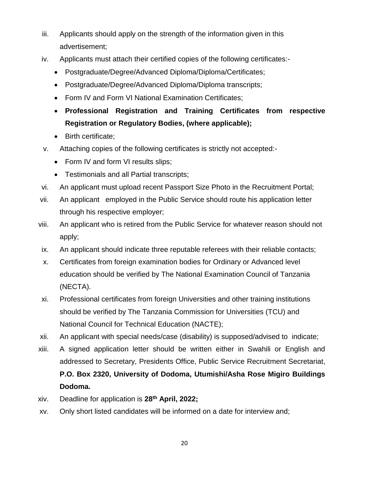- iii. Applicants should apply on the strength of the information given in this advertisement;
- iv. Applicants must attach their certified copies of the following certificates:-
	- Postgraduate/Degree/Advanced Diploma/Diploma/Certificates;
	- Postgraduate/Degree/Advanced Diploma/Diploma transcripts;
	- Form IV and Form VI National Examination Certificates;
	- **Professional Registration and Training Certificates from respective Registration or Regulatory Bodies, (where applicable);**
	- Birth certificate;
- v. Attaching copies of the following certificates is strictly not accepted:-
	- Form IV and form VI results slips;
	- Testimonials and all Partial transcripts;
- vi. An applicant must upload recent Passport Size Photo in the Recruitment Portal;
- vii. An applicant employed in the Public Service should route his application letter through his respective employer;
- viii. An applicant who is retired from the Public Service for whatever reason should not apply;
- ix. An applicant should indicate three reputable referees with their reliable contacts;
- x. Certificates from foreign examination bodies for Ordinary or Advanced level education should be verified by The National Examination Council of Tanzania (NECTA).
- xi. Professional certificates from foreign Universities and other training institutions should be verified by The Tanzania Commission for Universities (TCU) and National Council for Technical Education (NACTE);
- xii. An applicant with special needs/case (disability) is supposed/advised to indicate;
- xiii. A signed application letter should be written either in Swahili or English and addressed to Secretary, Presidents Office, Public Service Recruitment Secretariat, **P.O. Box 2320, University of Dodoma, Utumishi/Asha Rose Migiro Buildings Dodoma.**
- xiv. Deadline for application is **28th April, 2022;**
- xv. Only short listed candidates will be informed on a date for interview and;